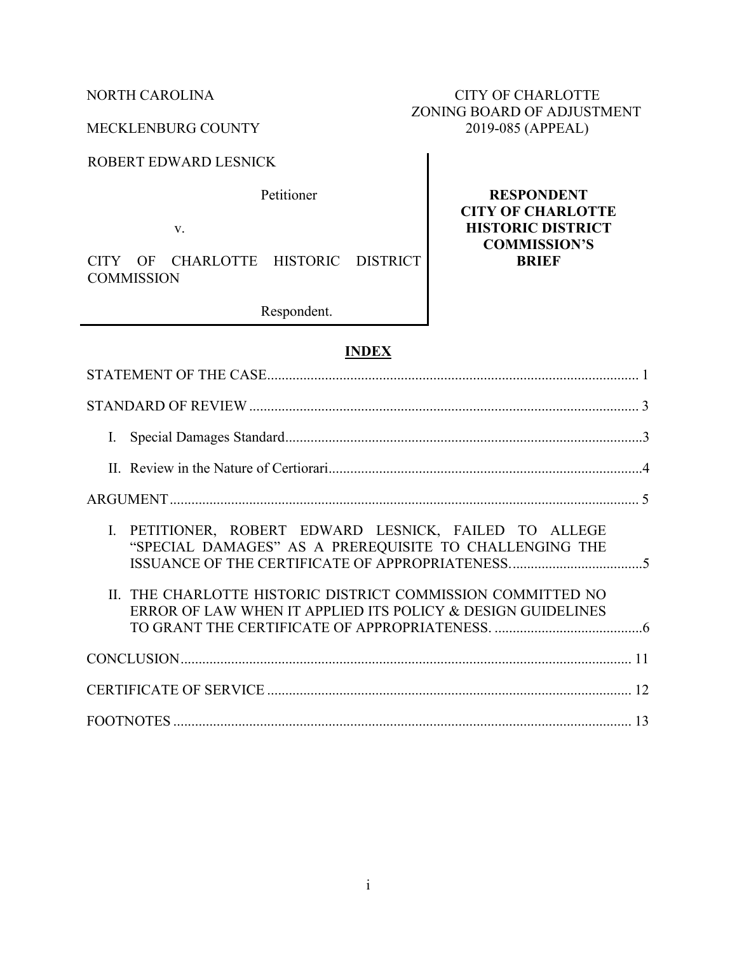ROBERT EDWARD LESNICK

Petitioner

v.

CITY OF CHARLOTTE HISTORIC DISTRICT **COMMISSION** 

Respondent.

## **INDEX**

| I. PETITIONER, ROBERT EDWARD LESNICK, FAILED TO ALLEGE<br>"SPECIAL DAMAGES" AS A PREREQUISITE TO CHALLENGING THE           |  |
|----------------------------------------------------------------------------------------------------------------------------|--|
| II. THE CHARLOTTE HISTORIC DISTRICT COMMISSION COMMITTED NO<br>ERROR OF LAW WHEN IT APPLIED ITS POLICY & DESIGN GUIDELINES |  |
|                                                                                                                            |  |
|                                                                                                                            |  |
|                                                                                                                            |  |

# NORTH CAROLINA CITY OF CHARLOTTE ZONING BOARD OF ADJUSTMENT MECKLENBURG COUNTY 2019-085 (APPEAL)

**RESPONDENT CITY OF CHARLOTTE HISTORIC DISTRICT COMMISSION'S BRIEF**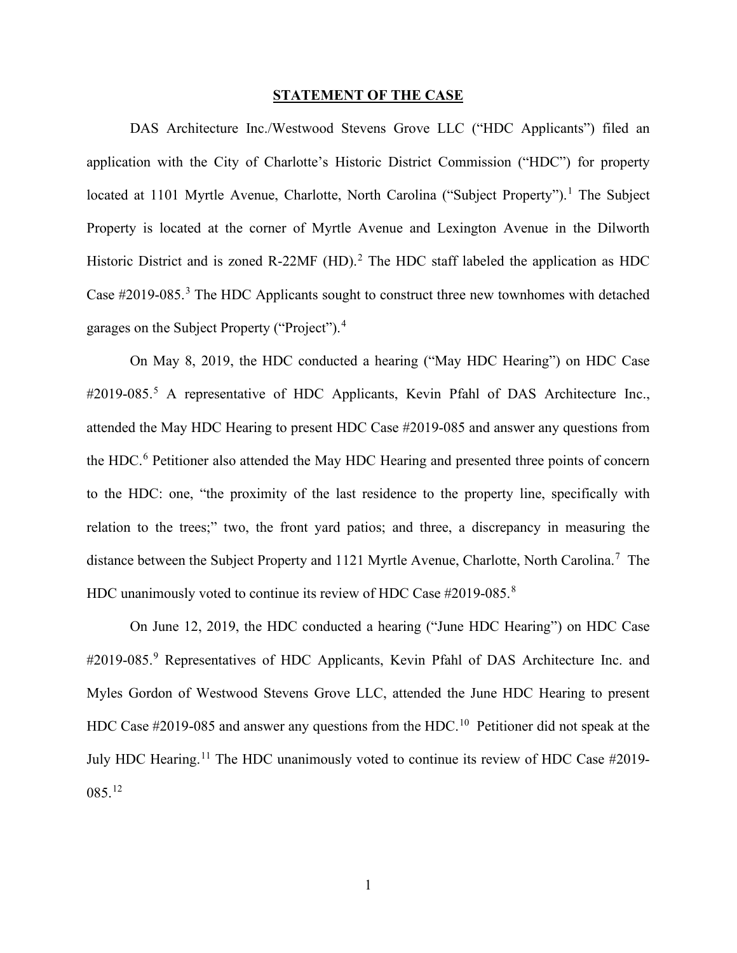### **STATEMENT OF THE CASE**

DAS Architecture Inc./Westwood Stevens Grove LLC ("HDC Applicants") filed an application with the City of Charlotte's Historic District Commission ("HDC") for property located at [1](#page-14-0)101 Myrtle Avenue, Charlotte, North Carolina ("Subject Property").<sup>1</sup> The Subject Property is located at the corner of Myrtle Avenue and Lexington Avenue in the Dilworth Historic District and is zoned R-[2](#page-14-1)2MF  $(HD)$ .<sup>2</sup> The HDC staff labeled the application as HDC Case  $\#2019-085$ <sup>[3](#page-14-2)</sup>. The HDC Applicants sought to construct three new townhomes with detached garages on the Subject Property ("Project").<sup>[4](#page-14-3)</sup>

On May 8, 2019, the HDC conducted a hearing ("May HDC Hearing") on HDC Case #2019-08[5](#page-14-4).<sup>5</sup> A representative of HDC Applicants, Kevin Pfahl of DAS Architecture Inc., attended the May HDC Hearing to present HDC Case #2019-085 and answer any questions from the HDC.<sup>[6](#page-14-5)</sup> Petitioner also attended the May HDC Hearing and presented three points of concern to the HDC: one, "the proximity of the last residence to the property line, specifically with relation to the trees;" two, the front yard patios; and three, a discrepancy in measuring the distance between the Subject Property and 1121 Myrtle Avenue, Charlotte, North Carolina.<sup>[7](#page-14-6)</sup> The HDC unanimously voted to continue its review of HDC Case #2019-0[8](#page-14-7)5.<sup>8</sup>

On June 12, 2019, the HDC conducted a hearing ("June HDC Hearing") on HDC Case #201[9](#page-14-8)-085.<sup>9</sup> Representatives of HDC Applicants, Kevin Pfahl of DAS Architecture Inc. and Myles Gordon of Westwood Stevens Grove LLC, attended the June HDC Hearing to present HDC Case #2019-085 and answer any questions from the HDC.<sup>[10](#page-14-9)</sup> Petitioner did not speak at the July HDC Hearing.<sup>[11](#page-14-10)</sup> The HDC unanimously voted to continue its review of HDC Case #2019- $085.<sup>12</sup>$  $085.<sup>12</sup>$  $085.<sup>12</sup>$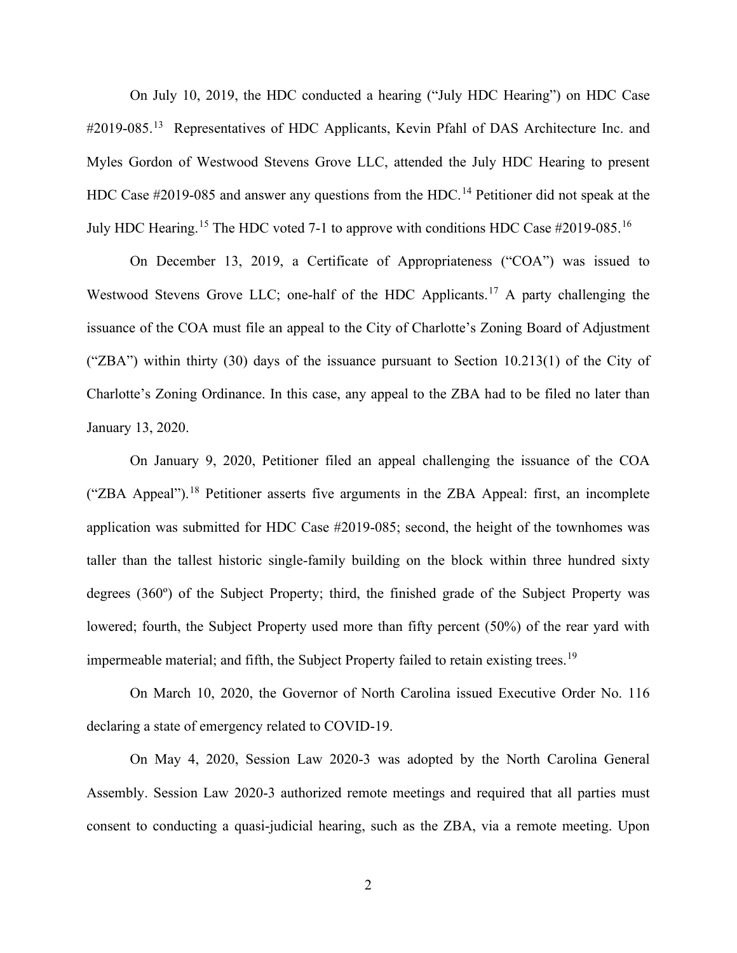On July 10, 2019, the HDC conducted a hearing ("July HDC Hearing") on HDC Case #2019-085.<sup>[13](#page-14-12)</sup> Representatives of HDC Applicants, Kevin Pfahl of DAS Architecture Inc. and Myles Gordon of Westwood Stevens Grove LLC, attended the July HDC Hearing to present HDC Case  $\#2019-085$  and answer any questions from the HDC.<sup>[14](#page-14-13)</sup> Petitioner did not speak at the July HDC Hearing.[15](#page-14-14) The HDC voted 7-1 to approve with conditions HDC Case #2019-085.[16](#page-14-15)

On December 13, 2019, a Certificate of Appropriateness ("COA") was issued to Westwood Stevens Grove LLC; one-half of the HDC Applicants.<sup>[17](#page-14-16)</sup> A party challenging the issuance of the COA must file an appeal to the City of Charlotte's Zoning Board of Adjustment ("ZBA") within thirty (30) days of the issuance pursuant to Section 10.213(1) of the City of Charlotte's Zoning Ordinance. In this case, any appeal to the ZBA had to be filed no later than January 13, 2020.

On January 9, 2020, Petitioner filed an appeal challenging the issuance of the COA ("ZBA Appeal").<sup>[18](#page-14-17)</sup> Petitioner asserts five arguments in the ZBA Appeal: first, an incomplete application was submitted for HDC Case #2019-085; second, the height of the townhomes was taller than the tallest historic single-family building on the block within three hundred sixty degrees (360º) of the Subject Property; third, the finished grade of the Subject Property was lowered; fourth, the Subject Property used more than fifty percent (50%) of the rear yard with impermeable material; and fifth, the Subject Property failed to retain existing trees.<sup>[19](#page-14-18)</sup>

On March 10, 2020, the Governor of North Carolina issued Executive Order No. 116 declaring a state of emergency related to COVID-19.

On May 4, 2020, Session Law 2020-3 was adopted by the North Carolina General Assembly. Session Law 2020-3 authorized remote meetings and required that all parties must consent to conducting a quasi-judicial hearing, such as the ZBA, via a remote meeting. Upon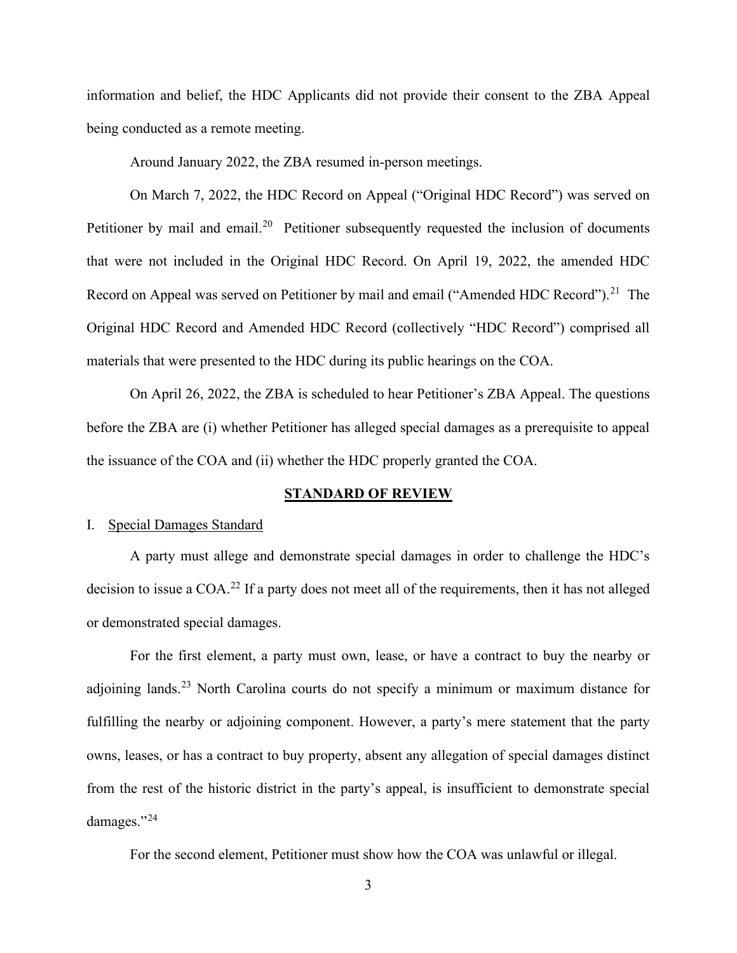information and belief, the HDC Applicants did not provide their consent to the ZBA Appeal being conducted as a remote meeting.

Around January 2022, the ZBA resumed in-person meetings.

On March 7, 2022, the HDC Record on Appeal ("Original HDC Record") was served on Petitioner by mail and email.<sup>[20](#page-14-19)</sup> Petitioner subsequently requested the inclusion of documents that were not included in the Original HDC Record. On April 19, 2022, the amended HDC Record on Appeal was served on Petitioner by mail and email ("Amended HDC Record").<sup>[21](#page-14-20)</sup> The Original HDC Record and Amended HDC Record (collectively "HDC Record") comprised all materials that were presented to the HDC during its public hearings on the COA.

On April 26, 2022, the ZBA is scheduled to hear Petitioner's ZBA Appeal. The questions before the ZBA are (i) whether Petitioner has alleged special damages as a prerequisite to appeal the issuance of the COA and (ii) whether the HDC properly granted the COA.

### **STANDARD OF REVIEW**

### I. Special Damages Standard

A party must allege and demonstrate special damages in order to challenge the HDC's decision to issue a COA.<sup>[22](#page-14-21)</sup> If a party does not meet all of the requirements, then it has not alleged or demonstrated special damages.

For the first element, a party must own, lease, or have a contract to buy the nearby or adjoining lands.<sup>[23](#page-14-22)</sup> North Carolina courts do not specify a minimum or maximum distance for fulfilling the nearby or adjoining component. However, a party's mere statement that the party owns, leases, or has a contract to buy property, absent any allegation of special damages distinct from the rest of the historic district in the party's appeal, is insufficient to demonstrate special damages."[24](#page-14-23)

For the second element, Petitioner must show how the COA was unlawful or illegal.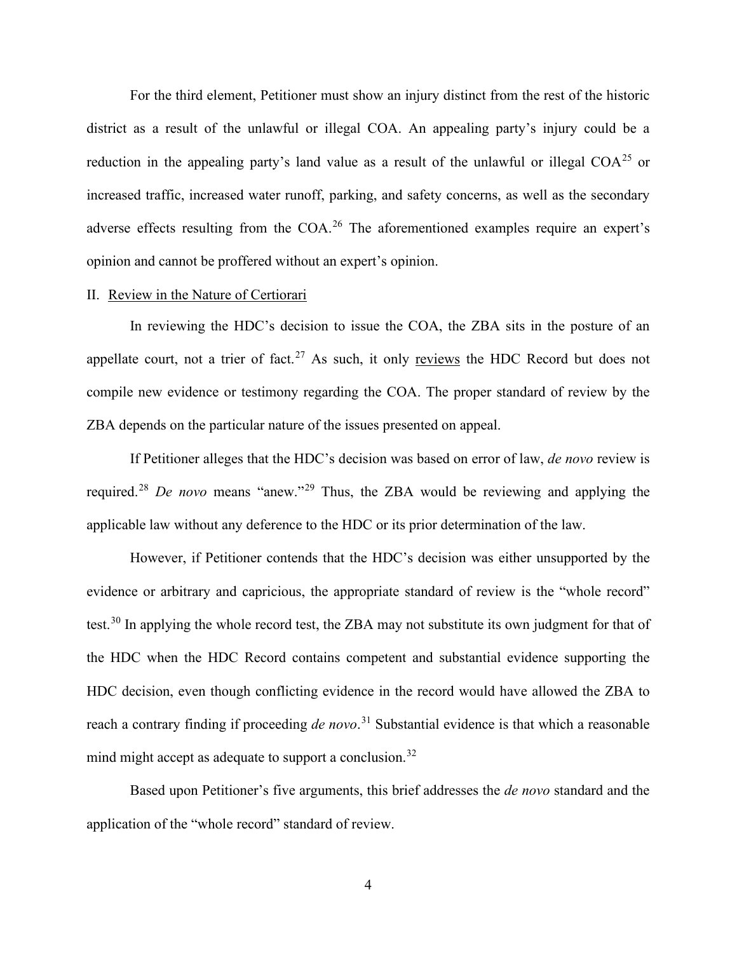For the third element, Petitioner must show an injury distinct from the rest of the historic district as a result of the unlawful or illegal COA. An appealing party's injury could be a reduction in the appealing party's land value as a result of the unlawful or illegal COA<sup>[25](#page-14-24)</sup> or increased traffic, increased water runoff, parking, and safety concerns, as well as the secondary adverse effects resulting from the COA.<sup>[26](#page-14-25)</sup> The aforementioned examples require an expert's opinion and cannot be proffered without an expert's opinion.

#### II. Review in the Nature of Certiorari

In reviewing the HDC's decision to issue the COA, the ZBA sits in the posture of an appellate court, not a trier of fact.<sup>[27](#page-14-26)</sup> As such, it only reviews the HDC Record but does not compile new evidence or testimony regarding the COA. The proper standard of review by the ZBA depends on the particular nature of the issues presented on appeal.

If Petitioner alleges that the HDC's decision was based on error of law, *de novo* review is required.[28](#page-14-27) *De novo* means "anew."[29](#page-14-28) Thus, the ZBA would be reviewing and applying the applicable law without any deference to the HDC or its prior determination of the law.

However, if Petitioner contends that the HDC's decision was either unsupported by the evidence or arbitrary and capricious, the appropriate standard of review is the "whole record" test.<sup>[30](#page-14-29)</sup> In applying the whole record test, the ZBA may not substitute its own judgment for that of the HDC when the HDC Record contains competent and substantial evidence supporting the HDC decision, even though conflicting evidence in the record would have allowed the ZBA to reach a contrary finding if proceeding *de novo*. [31](#page-14-30) Substantial evidence is that which a reasonable mind might accept as adequate to support a conclusion.<sup>[32](#page-14-31)</sup>

Based upon Petitioner's five arguments, this brief addresses the *de novo* standard and the application of the "whole record" standard of review.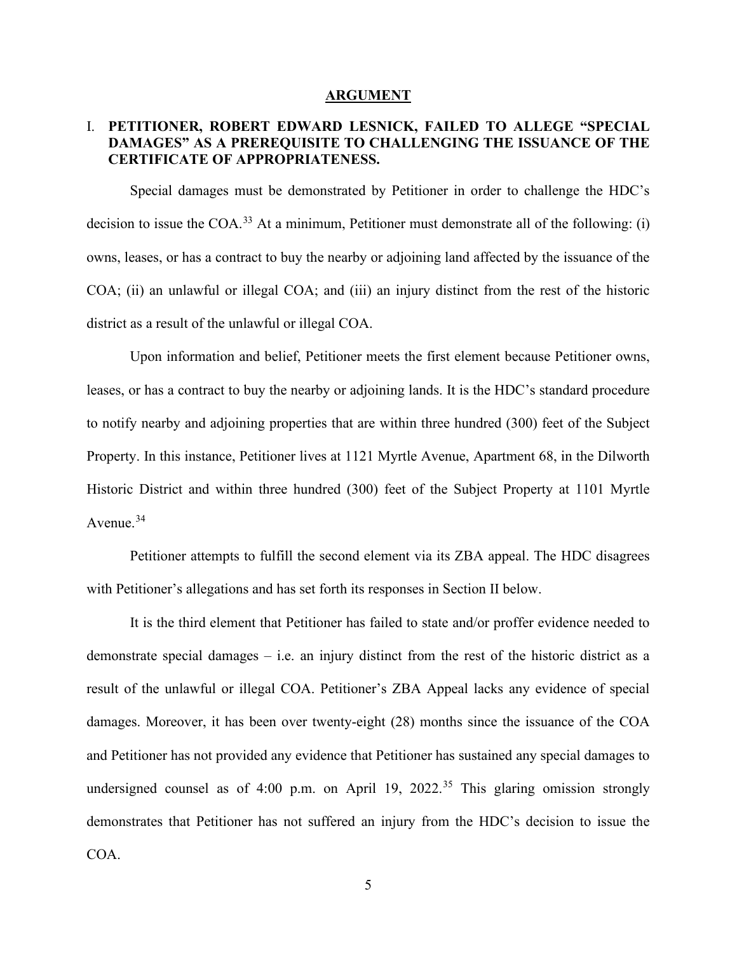#### **ARGUMENT**

## I. **PETITIONER, ROBERT EDWARD LESNICK, FAILED TO ALLEGE "SPECIAL DAMAGES" AS A PREREQUISITE TO CHALLENGING THE ISSUANCE OF THE CERTIFICATE OF APPROPRIATENESS.**

Special damages must be demonstrated by Petitioner in order to challenge the HDC's decision to issue the COA.<sup>[33](#page-14-32)</sup> At a minimum, Petitioner must demonstrate all of the following: (i) owns, leases, or has a contract to buy the nearby or adjoining land affected by the issuance of the COA; (ii) an unlawful or illegal COA; and (iii) an injury distinct from the rest of the historic district as a result of the unlawful or illegal COA.

Upon information and belief, Petitioner meets the first element because Petitioner owns, leases, or has a contract to buy the nearby or adjoining lands. It is the HDC's standard procedure to notify nearby and adjoining properties that are within three hundred (300) feet of the Subject Property. In this instance, Petitioner lives at 1121 Myrtle Avenue, Apartment 68, in the Dilworth Historic District and within three hundred (300) feet of the Subject Property at 1101 Myrtle Avenue. [34](#page-14-33)

Petitioner attempts to fulfill the second element via its ZBA appeal. The HDC disagrees with Petitioner's allegations and has set forth its responses in Section II below.

It is the third element that Petitioner has failed to state and/or proffer evidence needed to demonstrate special damages – i.e. an injury distinct from the rest of the historic district as a result of the unlawful or illegal COA. Petitioner's ZBA Appeal lacks any evidence of special damages. Moreover, it has been over twenty-eight (28) months since the issuance of the COA and Petitioner has not provided any evidence that Petitioner has sustained any special damages to undersigned counsel as of 4:00 p.m. on April 19, 2022. [35](#page-14-34) This glaring omission strongly demonstrates that Petitioner has not suffered an injury from the HDC's decision to issue the COA.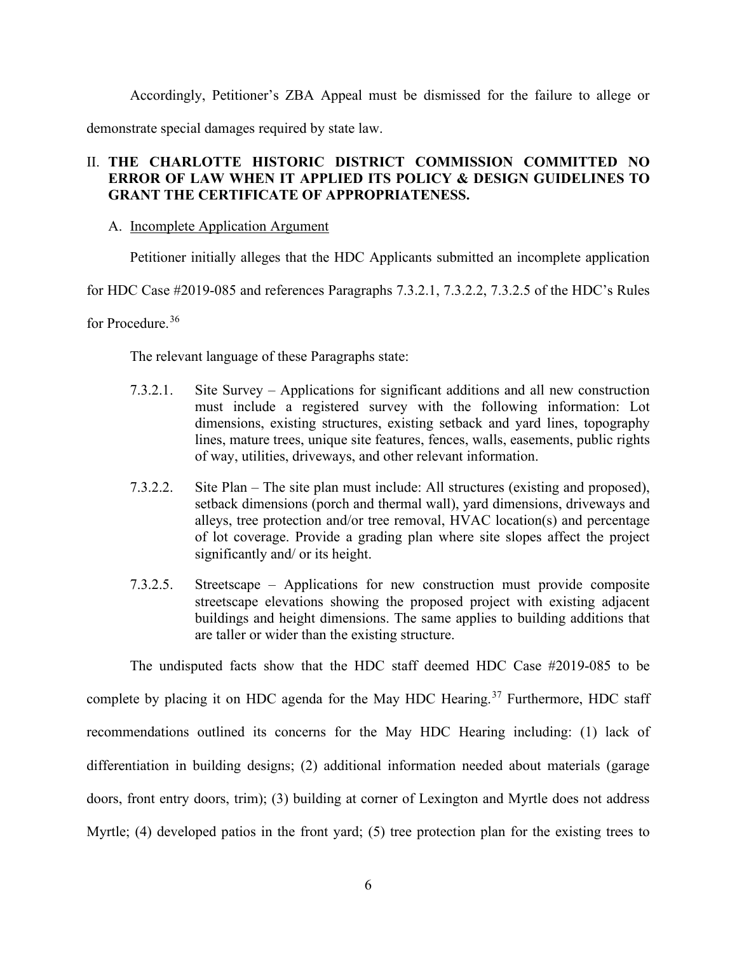Accordingly, Petitioner's ZBA Appeal must be dismissed for the failure to allege or

demonstrate special damages required by state law.

## II. **THE CHARLOTTE HISTORIC DISTRICT COMMISSION COMMITTED NO ERROR OF LAW WHEN IT APPLIED ITS POLICY & DESIGN GUIDELINES TO GRANT THE CERTIFICATE OF APPROPRIATENESS.**

## A. Incomplete Application Argument

Petitioner initially alleges that the HDC Applicants submitted an incomplete application

for HDC Case #2019-085 and references Paragraphs 7.3.2.1, 7.3.2.2, 7.3.2.5 of the HDC's Rules

for Procedure.<sup>[36](#page-14-35)</sup>

The relevant language of these Paragraphs state:

- 7.3.2.1. Site Survey Applications for significant additions and all new construction must include a registered survey with the following information: Lot dimensions, existing structures, existing setback and yard lines, topography lines, mature trees, unique site features, fences, walls, easements, public rights of way, utilities, driveways, and other relevant information.
- 7.3.2.2. Site Plan The site plan must include: All structures (existing and proposed), setback dimensions (porch and thermal wall), yard dimensions, driveways and alleys, tree protection and/or tree removal, HVAC location(s) and percentage of lot coverage. Provide a grading plan where site slopes affect the project significantly and/ or its height.
- 7.3.2.5. Streetscape Applications for new construction must provide composite streetscape elevations showing the proposed project with existing adjacent buildings and height dimensions. The same applies to building additions that are taller or wider than the existing structure.

The undisputed facts show that the HDC staff deemed HDC Case #2019-085 to be complete by placing it on HDC agenda for the May HDC Hearing.<sup>[37](#page-14-36)</sup> Furthermore, HDC staff recommendations outlined its concerns for the May HDC Hearing including: (1) lack of differentiation in building designs; (2) additional information needed about materials (garage doors, front entry doors, trim); (3) building at corner of Lexington and Myrtle does not address Myrtle; (4) developed patios in the front yard; (5) tree protection plan for the existing trees to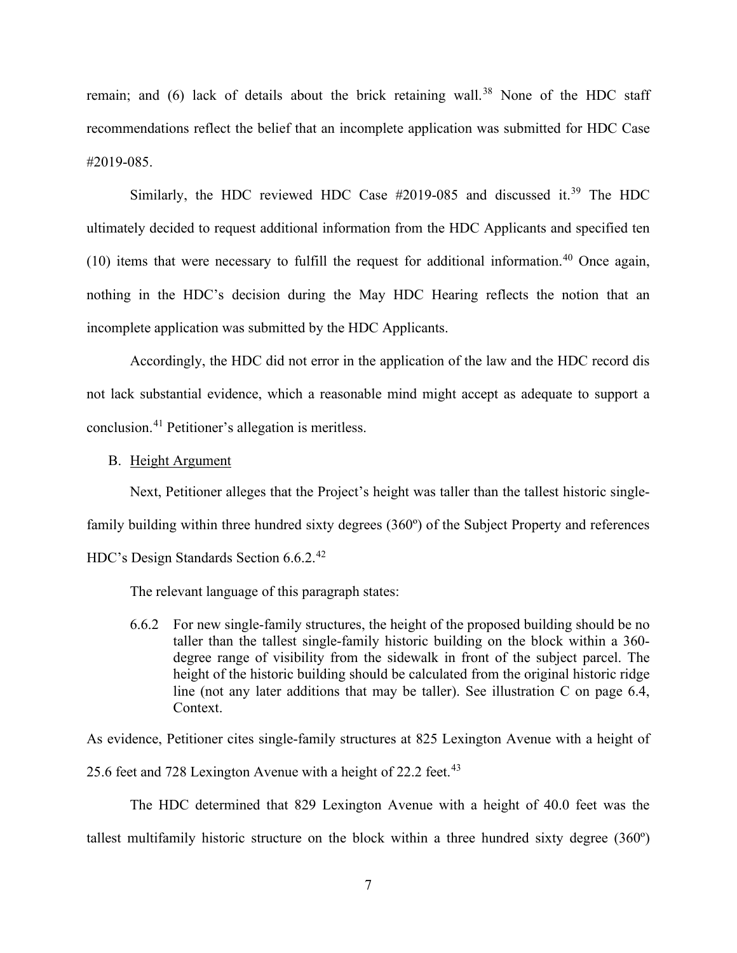remain; and  $(6)$  lack of details about the brick retaining wall.<sup>[38](#page-14-37)</sup> None of the HDC staff recommendations reflect the belief that an incomplete application was submitted for HDC Case #2019-085.

Similarly, the HDC reviewed HDC Case  $#2019-085$  and discussed it.<sup>[39](#page-14-38)</sup> The HDC ultimately decided to request additional information from the HDC Applicants and specified ten  $(10)$  items that were necessary to fulfill the request for additional information.<sup>[40](#page-14-39)</sup> Once again, nothing in the HDC's decision during the May HDC Hearing reflects the notion that an incomplete application was submitted by the HDC Applicants.

Accordingly, the HDC did not error in the application of the law and the HDC record dis not lack substantial evidence, which a reasonable mind might accept as adequate to support a conclusion.[41](#page-14-40) Petitioner's allegation is meritless.

## B. Height Argument

Next, Petitioner alleges that the Project's height was taller than the tallest historic singlefamily building within three hundred sixty degrees (360º) of the Subject Property and references HDC's Design Standards Section 6.6.2.[42](#page-14-41)

The relevant language of this paragraph states:

6.6.2 For new single-family structures, the height of the proposed building should be no taller than the tallest single-family historic building on the block within a 360 degree range of visibility from the sidewalk in front of the subject parcel. The height of the historic building should be calculated from the original historic ridge line (not any later additions that may be taller). See illustration C on page 6.4, Context.

As evidence, Petitioner cites single-family structures at 825 Lexington Avenue with a height of

25.6 feet and 728 Lexington Avenue with a height of 22.2 feet.<sup>[43](#page-14-42)</sup>

The HDC determined that 829 Lexington Avenue with a height of 40.0 feet was the tallest multifamily historic structure on the block within a three hundred sixty degree (360º)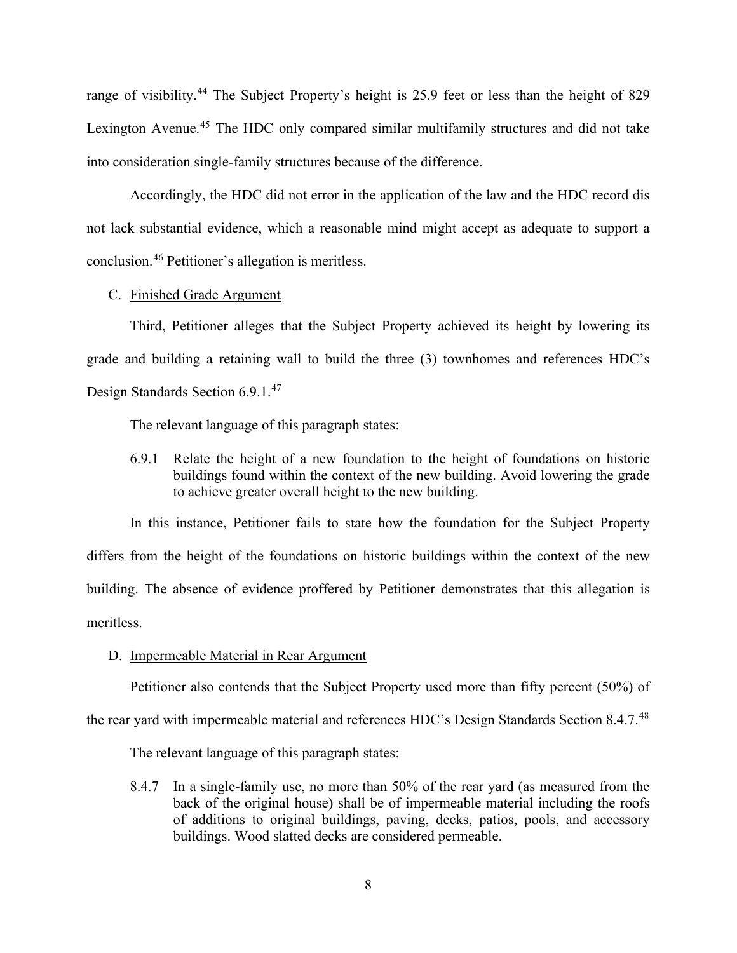range of visibility.<sup>[44](#page-14-43)</sup> The Subject Property's height is 25.9 feet or less than the height of 829 Lexington Avenue.<sup>[45](#page-14-44)</sup> The HDC only compared similar multifamily structures and did not take into consideration single-family structures because of the difference.

Accordingly, the HDC did not error in the application of the law and the HDC record dis not lack substantial evidence, which a reasonable mind might accept as adequate to support a conclusion.[46](#page-14-45) Petitioner's allegation is meritless.

### C. Finished Grade Argument

Third, Petitioner alleges that the Subject Property achieved its height by lowering its grade and building a retaining wall to build the three (3) townhomes and references HDC's Design Standards Section 6.9.1. [47](#page-14-46)

The relevant language of this paragraph states:

6.9.1 Relate the height of a new foundation to the height of foundations on historic buildings found within the context of the new building. Avoid lowering the grade to achieve greater overall height to the new building.

In this instance, Petitioner fails to state how the foundation for the Subject Property differs from the height of the foundations on historic buildings within the context of the new building. The absence of evidence proffered by Petitioner demonstrates that this allegation is meritless.

### D. Impermeable Material in Rear Argument

Petitioner also contends that the Subject Property used more than fifty percent (50%) of

the rear yard with impermeable material and references HDC's Design Standards Section 8.4.7.<sup>[48](#page-14-47)</sup>

The relevant language of this paragraph states:

8.4.7 In a single-family use, no more than 50% of the rear yard (as measured from the back of the original house) shall be of impermeable material including the roofs of additions to original buildings, paving, decks, patios, pools, and accessory buildings. Wood slatted decks are considered permeable.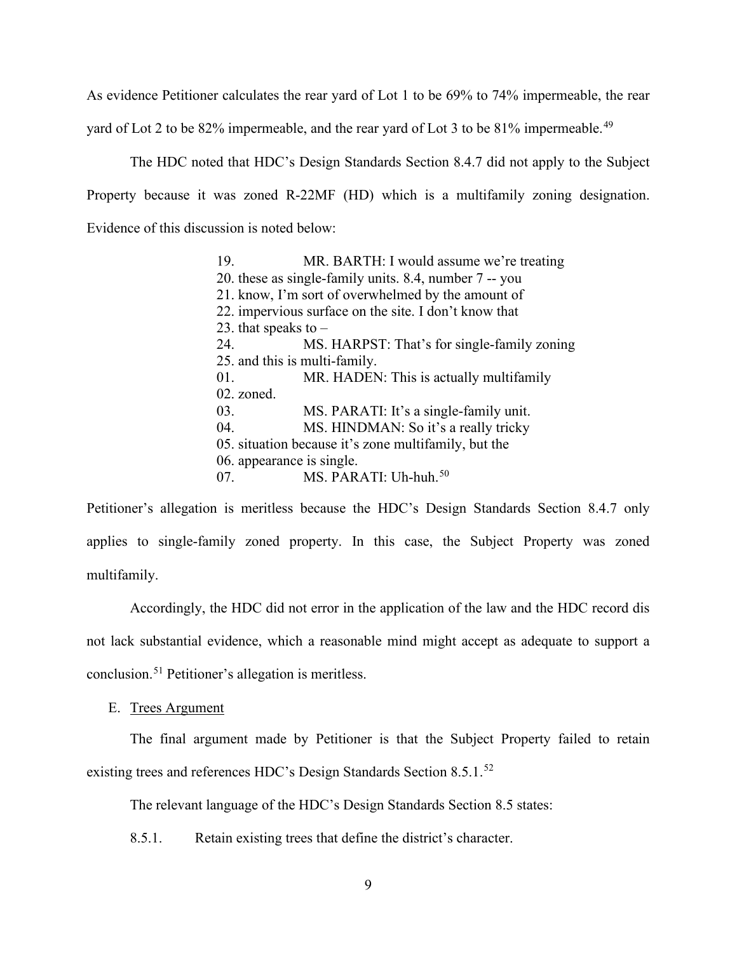As evidence Petitioner calculates the rear yard of Lot 1 to be 69% to 74% impermeable, the rear

yard of Lot 2 to be 82% impermeable, and the rear yard of Lot 3 to be 81% impermeable.<sup>[49](#page-14-48)</sup>

The HDC noted that HDC's Design Standards Section 8.4.7 did not apply to the Subject Property because it was zoned R-22MF (HD) which is a multifamily zoning designation. Evidence of this discussion is noted below:

> 19. MR. BARTH: I would assume we're treating 20. these as single-family units. 8.4, number 7 -- you 21. know, I'm sort of overwhelmed by the amount of 22. impervious surface on the site. I don't know that 23. that speaks to  $-$ 24. MS. HARPST: That's for single-family zoning 25. and this is multi-family. 01. MR. HADEN: This is actually multifamily 02. zoned. 03. MS. PARATI: It's a single-family unit. 04. MS. HINDMAN: So it's a really tricky 05. situation because it's zone multifamily, but the 06. appearance is single. 07. MS. PARATI: Uh-huh.<sup>[50](#page-14-49)</sup>

Petitioner's allegation is meritless because the HDC's Design Standards Section 8.4.7 only applies to single-family zoned property. In this case, the Subject Property was zoned multifamily.

Accordingly, the HDC did not error in the application of the law and the HDC record dis not lack substantial evidence, which a reasonable mind might accept as adequate to support a conclusion.[51](#page-14-50) Petitioner's allegation is meritless.

E. Trees Argument

The final argument made by Petitioner is that the Subject Property failed to retain existing trees and references HDC's Design Standards Section 8.5.1.<sup>[52](#page-14-51)</sup>

The relevant language of the HDC's Design Standards Section 8.5 states:

8.5.1. Retain existing trees that define the district's character.

9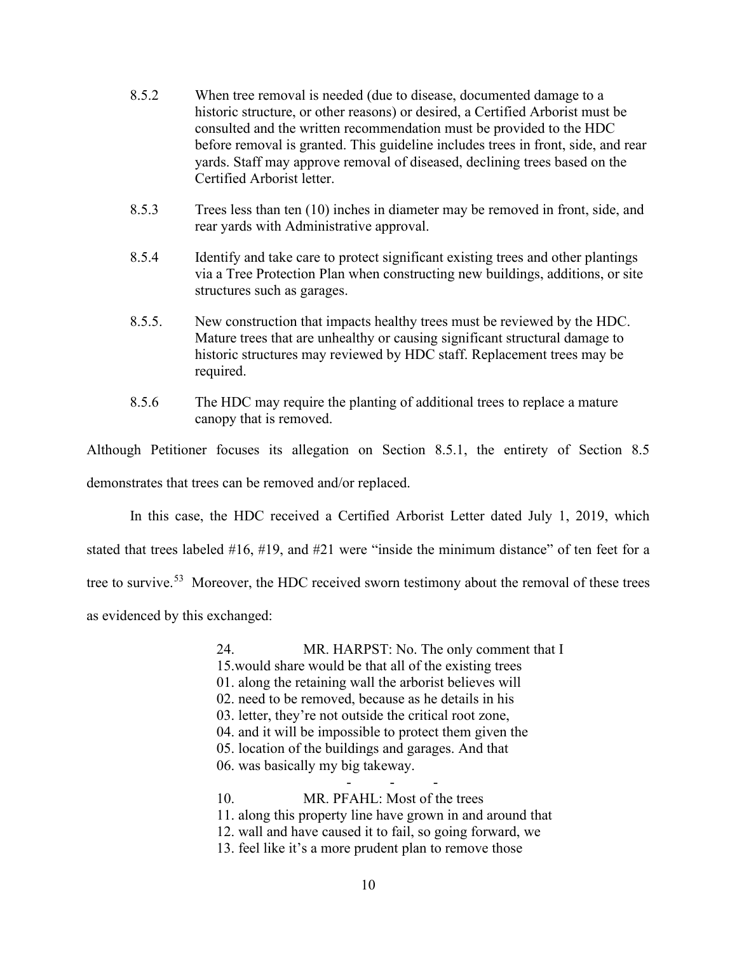- 8.5.2 When tree removal is needed (due to disease, documented damage to a historic structure, or other reasons) or desired, a Certified Arborist must be consulted and the written recommendation must be provided to the HDC before removal is granted. This guideline includes trees in front, side, and rear yards. Staff may approve removal of diseased, declining trees based on the Certified Arborist letter.
- 8.5.3 Trees less than ten (10) inches in diameter may be removed in front, side, and rear yards with Administrative approval.
- 8.5.4 Identify and take care to protect significant existing trees and other plantings via a Tree Protection Plan when constructing new buildings, additions, or site structures such as garages.
- 8.5.5. New construction that impacts healthy trees must be reviewed by the HDC. Mature trees that are unhealthy or causing significant structural damage to historic structures may reviewed by HDC staff. Replacement trees may be required.
- 8.5.6 The HDC may require the planting of additional trees to replace a mature canopy that is removed.

Although Petitioner focuses its allegation on Section 8.5.1, the entirety of Section 8.5 demonstrates that trees can be removed and/or replaced.

In this case, the HDC received a Certified Arborist Letter dated July 1, 2019, which stated that trees labeled #16, #19, and #21 were "inside the minimum distance" of ten feet for a tree to survive.<sup>53</sup> Moreover, the HDC received sworn testimony about the removal of these trees as evidenced by this exchanged:

> 24. MR. HARPST: No. The only comment that I 15.would share would be that all of the existing trees 01. along the retaining wall the arborist believes will 02. need to be removed, because as he details in his 03. letter, they're not outside the critical root zone, 04. and it will be impossible to protect them given the 05. location of the buildings and garages. And that 06. was basically my big takeway. - - - 10. MR. PFAHL: Most of the trees 11. along this property line have grown in and around that 12. wall and have caused it to fail, so going forward, we 13. feel like it's a more prudent plan to remove those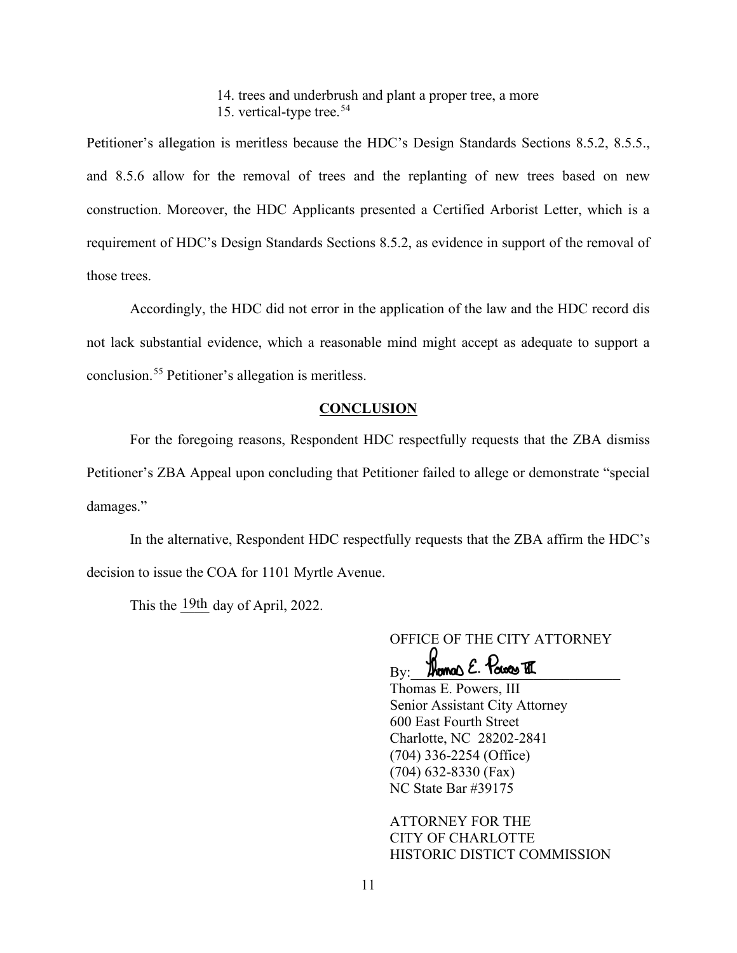14. trees and underbrush and plant a proper tree, a more 15. vertical-type tree.<sup>[54](#page-14-53)</sup>

Petitioner's allegation is meritless because the HDC's Design Standards Sections 8.5.2, 8.5.5., and 8.5.6 allow for the removal of trees and the replanting of new trees based on new construction. Moreover, the HDC Applicants presented a Certified Arborist Letter, which is a requirement of HDC's Design Standards Sections 8.5.2, as evidence in support of the removal of those trees.

Accordingly, the HDC did not error in the application of the law and the HDC record dis not lack substantial evidence, which a reasonable mind might accept as adequate to support a conclusion.[55](#page-14-54) Petitioner's allegation is meritless.

### **CONCLUSION**

For the foregoing reasons, Respondent HDC respectfully requests that the ZBA dismiss Petitioner's ZBA Appeal upon concluding that Petitioner failed to allege or demonstrate "special damages."

In the alternative, Respondent HDC respectfully requests that the ZBA affirm the HDC's decision to issue the COA for 1101 Myrtle Avenue.

This the  $\frac{19th}{h}$  day of April, 2022.

OFFICE OF THE CITY ATTORNEY

 $B_{\rm BV}$ : Thomas E. Tower TI

Thomas E. Powers, III Senior Assistant City Attorney 600 East Fourth Street Charlotte, NC 28202-2841 (704) 336-2254 (Office) (704) 632-8330 (Fax) NC State Bar #39175

ATTORNEY FOR THE CITY OF CHARLOTTE HISTORIC DISTICT COMMISSION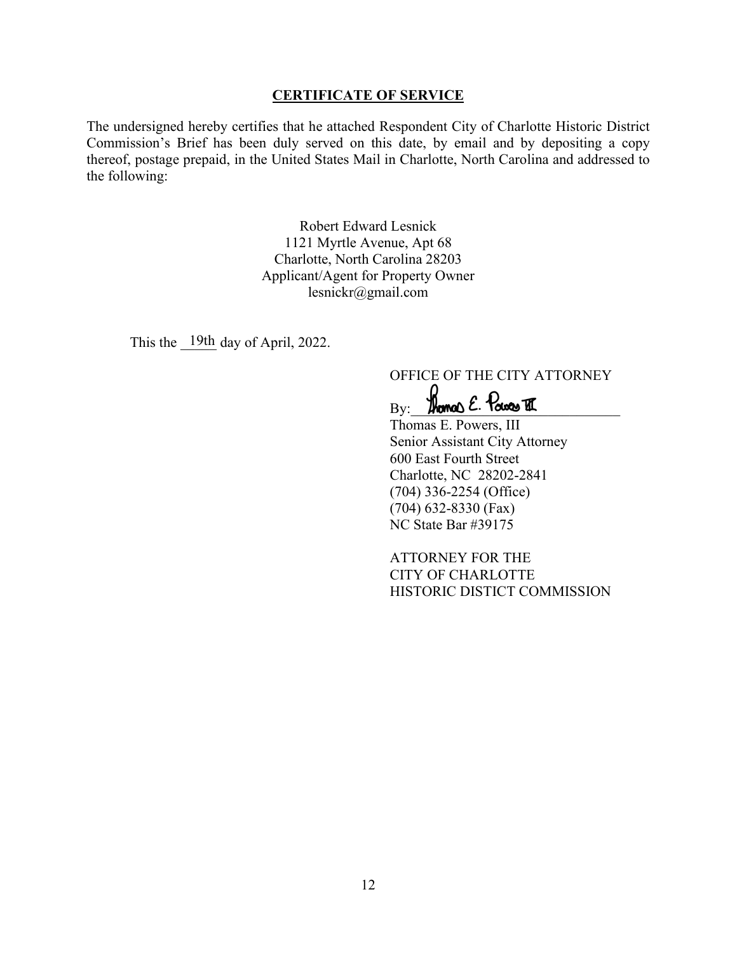## **CERTIFICATE OF SERVICE**

The undersigned hereby certifies that he attached Respondent City of Charlotte Historic District Commission's Brief has been duly served on this date, by email and by depositing a copy thereof, postage prepaid, in the United States Mail in Charlotte, North Carolina and addressed to the following:

> Robert Edward Lesnick 1121 Myrtle Avenue, Apt 68 Charlotte, North Carolina 28203 Applicant/Agent for Property Owner lesnickr@gmail.com

This the  $19th$  day of April, 2022.

OFFICE OF THE CITY ATTORNEY

 $B_{\rm Y}:$  Homes E. Power II

Thomas E. Powers, III Senior Assistant City Attorney 600 East Fourth Street Charlotte, NC 28202-2841 (704) 336-2254 (Office) (704) 632-8330 (Fax) NC State Bar #39175

ATTORNEY FOR THE CITY OF CHARLOTTE HISTORIC DISTICT COMMISSION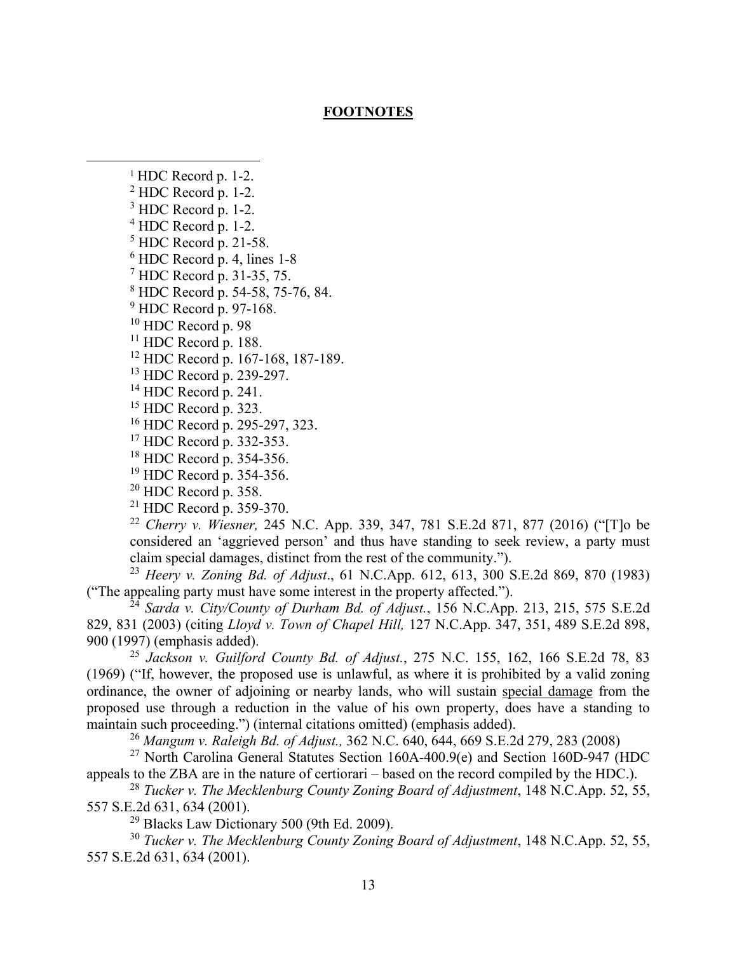## **FOOTNOTES**

 $1$  HDC Record p. 1-2.

<sup>2</sup> HDC Record p. 1-2.

 $3$  HDC Record p. 1-2.

 $^{4}$  HDC Record p. 1-2.<br> $^{5}$  HDC Record p. 21-58.

 $6$  HDC Record p. 4, lines 1-8.

<sup>7</sup> HDC Record p. 31-35, 75.

<sup>8</sup> HDC Record p. 54-58, 75-76, 84.

<sup>9</sup> HDC Record p. 97-168.

<sup>10</sup> HDC Record p. 98

<sup>11</sup> HDC Record p. 188.

<sup>12</sup> HDC Record p. 167-168, 187-189.

<sup>13</sup> HDC Record p. 239-297.

 $14$  HDC Record p. 241.

<sup>15</sup> HDC Record p. 323.

<sup>16</sup> HDC Record p. 295-297, 323.

<sup>17</sup> HDC Record p. 332-353.

<sup>18</sup> HDC Record p. 354-356.

<sup>19</sup> HDC Record p. 354-356.<br><sup>20</sup> HDC Record p. 358.

 $21$  HDC Record p. 359-370.

<sup>22</sup> *Cherry v. Wiesner,* 245 N.C. App. 339, 347, 781 S.E.2d 871, 877 (2016) ("[T]o be considered an 'aggrieved person' and thus have standing to seek review, a party must claim special damages, distinct from the rest of the community.").

<sup>23</sup> *Heery v. Zoning Bd. of Adjust*., 61 N.C.App. 612, 613, 300 S.E.2d 869, 870 (1983) ("The appealing party must have some interest in the property affected.").

<sup>24</sup> *Sarda v. City/County of Durham Bd. of Adjust.*, 156 N.C.App. 213, 215, 575 S.E.2d 829, 831 (2003) (citing *Lloyd v. Town of Chapel Hill,* 127 N.C.App. 347, 351, 489 S.E.2d 898, 900 (1997) (emphasis added).

<sup>25</sup> *Jackson v. Guilford County Bd. of Adjust.*, 275 N.C. 155, 162, 166 S.E.2d 78, 83 (1969) ("If, however, the proposed use is unlawful, as where it is prohibited by a valid zoning ordinance, the owner of adjoining or nearby lands, who will sustain special damage from the proposed use through a reduction in the value of his own property, does have a standing to maintain such proceeding.") (internal citations omitted) (emphasis added).

<sup>26</sup> *Mangum v. Raleigh Bd. of Adjust.,* 362 N.C. 640, 644, 669 S.E.2d 279, 283 (2008)

<sup>27</sup> North Carolina General Statutes Section 160A-400.9(e) and Section 160D-947 (HDC appeals to the ZBA are in the nature of certiorari – based on the record compiled by the HDC.).

<sup>28</sup> *Tucker v. The Mecklenburg County Zoning Board of Adjustment*, 148 N.C.App. 52, 55, 557 S.E.2d 631, 634 (2001).

<sup>29</sup> Blacks Law Dictionary 500 (9th Ed. 2009).

<sup>30</sup> *Tucker v. The Mecklenburg County Zoning Board of Adjustment*, 148 N.C.App. 52, 55, 557 S.E.2d 631, 634 (2001).